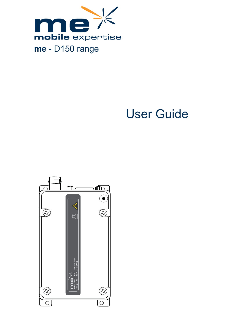

# User Guide

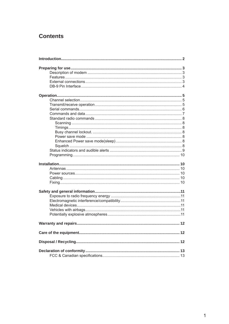### **Contents**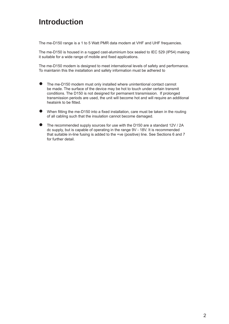## **Introduction**

The me-D150 range is a 1 to 5 Watt PMR data modem at VHF and UHF frequencies.

The me-D150 is housed in a rugged cast-aluminium box sealed to IEC 529 (IP54) making it suitable for a wide range of mobile and fixed applications.

The me-D150 modem is designed to meet international levels of safety and performance. To maintanin this the installation and safety information must be adhered to

- The me-D150 modem must only installed where unintentional contact cannot be made. The surface of the device may be hot to touch under certain transmit conditions. The D150 is not designed for permanent transmission. If prolonged transmission periods are used, the unit will become hot and will require an additional heatsink to be fitted. ●
- When fitting the me-D150 into a fixed installation, care must be taken in the routing of all cabling such that the insulation cannot become damaged. ●
- The recommended supply sources for use with the D150 are a standard 12V / 2A dc supply, but is capable of operating in the range 9V - 18V. It is recommended that suitable in-line fusing is added to the +ve (positive) line. See Sections 6 and 7 for further detail. ●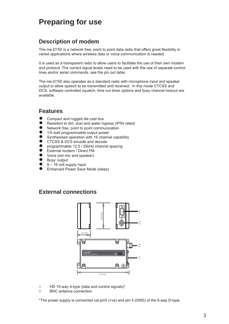## **Preparing for use**

#### **Description of modem**

The me-D150 is a network free, point to point data radio that offers great flexibility in varied applications where wireless data or voice communication is needed.

It is used as a transparent radio to allow users to facilitate the use of their own modem and protocol. The correct signal levels need to be used with the use of separate control lines and/or serial commands, see the pin out table.

The me-D150 also operates as a standard radio with microphone input and speaker output to allow speech to be transmitted and received. In this mode CTCSS and DCS, software controlled squelch, time out timer options and busy channel lockout are available.

#### **Features**

- Compact and rugged die cast box  $\bullet$
- Resistant to dirt, dust and water ingress (IP54 rated) ●
- Network free, point to point communication ●
- 1/5 watt programmable output power ●
- Synthesised operation with 16 channel capability ●
- CTCSS & DCS encode and decode ●
- programmable 12.5 / 25kHz channel spacing ●
- External modem / Direct FM  $\bullet$
- Voice (ext mic and speaker).  $\bullet$
- Busy' output  $\bullet$
- 9 18 volt supply input  $\bullet$
- Enhanced Power Save Mode (sleep)  $\bullet$

#### **External connections**



- **1** HD 15-way d-type (data and control signals)\*
- **2** BNC antenna connection

\*The power supply is connected via pin5 (+ve) and pin 4 (GND) of the 9 way D-type.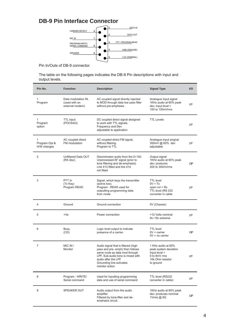### **DB-9 Pin Interface Connector**



Pin In/Outs of DB-9 connector.

The table on the following pages indicates the DB-9 Pin descriptions with input and output levels.

| Pin No.                                      | <b>Function</b>                                         | <b>Description</b>                                                                                                                                                                                                  | <b>Signal Type</b>                                                                                              | $U$            |
|----------------------------------------------|---------------------------------------------------------|---------------------------------------------------------------------------------------------------------------------------------------------------------------------------------------------------------------------|-----------------------------------------------------------------------------------------------------------------|----------------|
| $\mathbf{1}$<br>Program                      | Data modulation IN.<br>(used with an<br>external modem) | AC coupled signal directly injected<br>to MOD through data low pass filter<br>without pre-emphasis.                                                                                                                 | Analogue Input signal<br>1KHz audio at 60% peak<br>dev. input level =<br>100 to 120mVrms                        | I/P            |
| 1<br>Program<br>option                       | <b>TTL</b> input<br>(POCSAG)                            | DC coupled direct signal designed<br>to work with TTL signals.<br>Frequency and Dev<br>adjustable to application                                                                                                    | <b>TTL Levels</b>                                                                                               | I/P            |
| $\mathbf{1}$<br>Program Opt &<br>H/W changes | AC coupled direct<br>FM modulation                      | AC coupled direct FM signal,<br>without filtering.<br>Program to TTL                                                                                                                                                | Analogue Input singnal<br>350mV @ 60% dev<br>adjustable                                                         | I/P            |
| 2                                            | Unfiltered Data OUT<br>(RX disc)                        | Discriminator audio from the D-150.<br>Unprocessed AF signal (prior to<br>tone filtering and de-emphasis)<br>Link 413 fitted and link 414<br>not fitted                                                             | Output signal<br>1KHz audio at 60% peak<br>dev. produces<br>200 to 300mVrms                                     | <b>OP</b>      |
| 3                                            | PTT In<br>(Tx Key)<br>Program READ                      | Signal, which keys the transmitter<br>(active low).<br>Program: READ used for<br>outputting programming data<br>from mode                                                                                           | <b>TTL</b> level<br>$0V = Tx$<br>open $cct = Rx$<br>TTL level (RS 232<br>converter in cable                     | $_{\text{UP}}$ |
| 4                                            | Ground                                                  | Ground connection                                                                                                                                                                                                   | 0V (Chassis)                                                                                                    |                |
| 5                                            | $+Ve$                                                   | Power connection                                                                                                                                                                                                    | +12 Volts nominal<br>9v~18v extreme                                                                             | I/P            |
| 6                                            | Busy<br>(CD)                                            | Logic level output to indicate<br>presence of a carrier.                                                                                                                                                            | <b>TTL</b> level<br>$0V = \text{carrier}$<br>$5V = no carrier$                                                  | <b>OP</b>      |
| $\overline{7}$                               | MIC IN /<br>Monitor                                     | Audio signal that is filtered (high<br>pass and pre- emph) then follows<br>same route as data mod through<br>LPF. Sub-audio tone is mixed with<br>audio after the LPF<br>Grounding line activates<br>monitor action | 1 KHz audio at 60%<br>peak system deviation<br>$input level =$<br>6 to 8mV rms<br>10k Ohm resistor<br>to ground | I/P            |
| 8                                            | Program: WRITE/<br>Serial command                       | Used for inputting programming<br>data and use of serial command                                                                                                                                                    | TTL level (RS232<br>converter in cable)                                                                         | I/P            |
| 9                                            | SPEAKER OUT                                             | Audio output from the audio<br>amplifier.<br>Filtered by tone-filter and de-<br>emphasis circuit.                                                                                                                   | 1KHz audio at 60% peak<br>dev. produces nominal<br>1Vrms @ $8\Omega$                                            | <b>OP</b>      |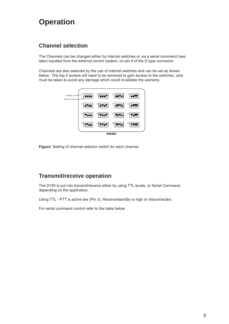## **Operation**

### **Channel selection**

The Channels can be changed either by internal switches or via a serial command (see later) inputted from the external control system, on pin 8 of the D type connector.

Channels are also selected by the use of internal switches and can be set as shown below. The top 4 screws will need to be removed to gain access to the switches, care must be taken to avoid any damage which could invalidate the warranty.



**Figure**: Setting of channel selector switch for each channel.

#### **Transmit/receive operation**

The D150 is put into transmit/receive either by using TTL levels, or Serial Command, depending on the application.

Using TTL - PTT is active low (Pin 3). Receive/standby is high or disconnected.

For serial command control refer to the table below.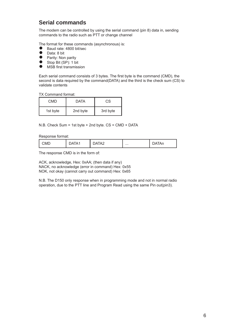#### **Serial commands**

The modem can be controlled by using the serial command (pin 8) data in, sending commands to the radio such as PTT or change channel

The format for these commands (asynchronous) is:

- Baud rate: 4800 bit/sec
- Data: 8 bit
- Parity: Non parity
- Stop Bit (SP): 1 bit
- MSB first transmission  $\bullet$

Each serial command consists of 3 bytes. The first byte is the command (CMD), the second is data required by the command(DATA) and the third is the check sum (CS) to validate contents

TX Command format:

| CMD      | <b>DATA</b> | СS       |
|----------|-------------|----------|
| 1st byte | 2nd byte    | 3rd byte |

N.B. Check Sum = 1st byte + 2nd byte. CS = CMD + DATA

Response format:

| $-1$<br>`ME.<br>שו∨וי<br>. | . .<br>11 L | $\cdots$ | - 31 1<br>. |
|----------------------------|-------------|----------|-------------|
|----------------------------|-------------|----------|-------------|

The response CMD is in the form of:

ACK, acknowledge, Hex: 0xAA; (then data if any) NACK, no acknowledge (error in command) Hex: 0x55 NOK, not okay (cannot carry out command) Hex: 0x65

N.B. The D150 only response when in programming mode and not in normal radio operation, due to the PTT line and Program Read using the same Pin out(pin3).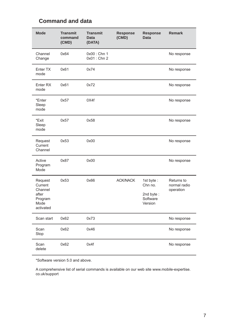| <b>Mode</b>                                                            | <b>Transmit</b><br>command<br>(CMD) | <b>Transmit</b><br><b>Data</b><br>(DATA) | <b>Response</b><br>(CMD) | <b>Response</b><br><b>Data</b>                           | <b>Remark</b>                           |
|------------------------------------------------------------------------|-------------------------------------|------------------------------------------|--------------------------|----------------------------------------------------------|-----------------------------------------|
| Channel<br>Change                                                      | 0x64                                | 0x00: Chn 1<br>$0x01:$ Chn 2             |                          |                                                          | No response                             |
| Enter TX<br>mode                                                       | 0x61                                | 0x74                                     |                          |                                                          | No response                             |
| Enter <sub>RX</sub><br>mode                                            | 0x61                                | 0x72                                     |                          |                                                          | No response                             |
| *Enter<br>Sleep<br>mode                                                | 0x57                                | 0X4f                                     |                          |                                                          | No response                             |
| *Exit<br>Sleep<br>mode                                                 | 0x57                                | 0x58                                     |                          |                                                          | No response                             |
| Request<br>Current<br>Channel                                          | 0x53                                | 0x00                                     |                          |                                                          | No response                             |
| Active<br>Program<br>Mode                                              | 0x87                                | 0x00                                     |                          |                                                          | No response                             |
| Request<br>Current<br>Channel<br>after<br>Program<br>Mode<br>activated | 0x53                                | 0x66                                     | <b>ACK/NACK</b>          | 1st byte:<br>Chn no.<br>2nd byte:<br>Software<br>Version | Returns to<br>normal radio<br>operation |
| Scan start                                                             | 0x62                                | 0x73                                     |                          |                                                          | No response                             |
| Scan<br>Stop                                                           | 0x62                                | 0x46                                     |                          |                                                          | No response                             |
| Scan<br>delete                                                         | 0x62                                | 0x4f                                     |                          |                                                          | No response                             |

### **Command and data**

\*Software version 5.0 and above.

A comprehensive list of serial commands is available on our web site www.mobile-expertise. co.uk/support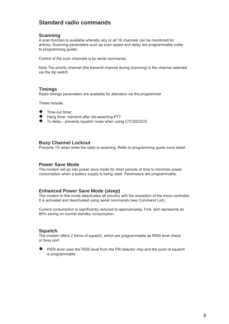#### **Standard radio commands**

#### **Scanning**

A scan function is available whereby any or all 16 channels can be monitored for activity. Scanning parameters such as scan speed and delay are programmable (refer to programming guide)

Control of the scan channels is by serial commands.

Note The priority channel (the transmit channel during scanning) is the channel selected via the dip switch.

#### **Timings**

Radio timings parameters are available for alteration via the programmer.

These include:

- Time-out timer, ●
- Hang timer -transmit after dis-asserting PTT  $\bullet$
- Tx delay prevents squelch noise when using CTCSS/DCS

#### **Busy Channel Lockout**

Prevents TX when while the radio is receiving. Refer to programming guide more detail.

#### **Power Save Mode**

The modem will go into power save mode for short periods of time to minimise power consumption when a battery supply is being used. Parameters are programmable.

#### **Enhanced Power Save Mode (sleep)**

The modem in this mode deactivates all circuitry with the exception of the micro controller. It is activated and deactivated using serial commands (see Command List).

Current consumption is significantly reduced to approximately 7mA and represents an 85% saving on normal standby consumption.

#### **Squelch**

The modem offers 2 forms of squelch, which are programmable as RSSI level check or busy port .

RSSI level uses the RSSI level from the FM detector chip and the point of squelch is programmable.. ●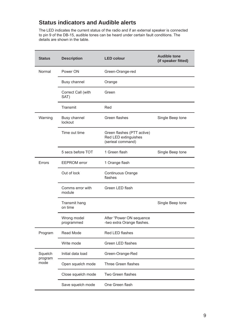#### **Status indicators and Audible alerts**

The LED indicates the current status of the radio and if an external speaker is connected to pin 9 of the DB-15, audible tones can be heard under certain fault conditions. The details are shown in the table.

| <b>Status</b>      | <b>Description</b>             | <b>LED colour</b>                                                       | <b>Audible tone</b><br>(if speaker fitted) |
|--------------------|--------------------------------|-------------------------------------------------------------------------|--------------------------------------------|
| Normal             | Power ON                       | Green-Orange-red                                                        |                                            |
|                    | <b>Busy channel</b>            | Orange                                                                  |                                            |
|                    | Correct Call (with<br>SAT)     | Green                                                                   |                                            |
|                    | Transmit                       | Red                                                                     |                                            |
| Warning            | <b>Busy channel</b><br>lockout | Green flashes                                                           | Single Beep tone                           |
|                    | Time out time                  | Green flashes (PTT active)<br>Red LED extinguishes<br>(serieal command) |                                            |
|                    | 5 secs before TOT              | 1 Green flash                                                           | Single Beep tone                           |
| Errors             | <b>EEPROM</b> error            | 1 Orange flash                                                          |                                            |
|                    | Out of lock                    | Continuous Orange<br>flashes                                            |                                            |
|                    | Comms error with<br>module     | Green LED flash                                                         |                                            |
|                    | Transmit hang<br>on time       |                                                                         | Single Beep tone                           |
|                    | Wrong model<br>programmed      | After "Power ON sequence<br>-two extra Orange flashes.                  |                                            |
| Program            | Read Mode                      | Red LED flashes                                                         |                                            |
|                    | Write mode                     | Green LED flashes                                                       |                                            |
| Squelch<br>program | Initial data load              | Green-Orange-Red                                                        |                                            |
| mode               | Open squelch mode              | Three Green flashes                                                     |                                            |
|                    | Close squelch mode             | Two Green flashes                                                       |                                            |
|                    | Save squelch mode              | One Green flash                                                         |                                            |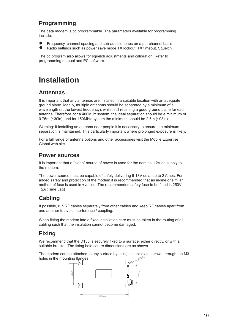### **Programming**

The data modem is pc programmable. The parameters available for programming include:

- Frequency, channel spacing and sub-audible tones on a per channel basis ●
- Radio settings such as power save mode,TX lockout, TX timeout, Squelch ●

The pc program also allows for squelch adjustments and calibration Refer to programming manual and PC software.

## **Installation**

#### **Antennas**

It is important that any antennas are installed in a suitable location with an adequate ground plane. Ideally, multiple antennas should be separated by a minimum of a wavelength (at the lowest frequency), whilst still retaining a good ground plane for each antenna. Therefore, for a 400MHz system, the ideal separation should be a minimum of 0.75m (~30in), and for 150MHz system the minimum should be 2.5m (~98in).

Warning: If installing an antenna near people it is necessary to ensure the minimum separation is maintained. This particularly important where prolonged exposure is likely.

For a full range of antenna options and other accessories visit the Mobile Expertise Global web site.

#### **Power sources**

It is important that a "clean" source of power is used for the nominal 12V dc supply to the modem.

The power source must be capable of safely delivering 9-18V dc at up to 2 Amps. For added safety and protection of the modem it is recommended that an in-line or similar method of fuse is used in +ve line. The recommended safety fuse to be fitted is 250V T2A (Time Lag)

### **Cabling**

If possible, run RF cables separately from other cables and keep RF cables apart from one another to avoid interference / coupling.

When fitting the modem into a fixed installation care must be taken in the routing of all cabling such that the insulation cannot become damaged.

### **Fixing**

We recommend that the D150 is securely fixed to a surface, either directly, or with a suitable bracket. The fixing hole centre dimensions are as shown.

The modem can be attached to any surface by using suitable size screws through the M3 holes in the mounting flanges 3.5mm

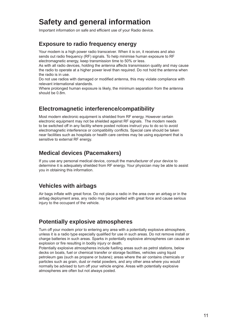## **Safety and general information**

Important information on safe and efficient use of your Radio device.

#### **Exposure to radio frequency energy**

Your modem is a high power radio transceiver. When it is on, it receives and also sends out radio frequency (RF) signals. To help minimise human exposure to RF electromagnetic energy, keep transmission time to 50% or less.

As with all radio devices, holding the antenna affects transmission quality and may cause the radio to operate at a higher power level than required. Do not hold the antenna when the radio is in use.

Do not use radios with damaged or modified antenna, this may violate compliance with relevant international standards.

Where prolonged human exposure is likely, the minimum separation from the antenna should be 0.8m.

#### **Electromagnetic interference/compatibility**

Most modern electronic equipment is shielded from RF energy. However certain electronic equipment may not be shielded against RF signals. The modem needs to be switched off in any facility where posted notices instruct you to do so to avoid electromagnetic interference or compatibility conflicts. Special care should be taken near facilities such as hospitals or health care centres may be using equipment that is sensitive to external RF energy.

#### **Medical devices (Pacemakers)**

If you use any personal medical device, consult the manufacturer of your device to determine it is adequately shielded from RF energy. Your physician may be able to assist you in obtaining this information.

#### **Vehicles with airbags**

Air bags inflate with great force. Do not place a radio in the area over an airbag or in the airbag deployment area, any radio may be propelled with great force and cause serious injury to the occupant of the vehicle.

#### **Potentially explosive atmospheres**

Turn off your modem prior to entering any area with a potentially explosive atmosphere, unless it is a radio type especially qualified for use in such areas. Do not remove install or charge batteries in such areas. Sparks in potentially explosive atmospheres can cause an explosion or fire resulting in bodily injury or death.

Potentially explosive atmospheres include fuelling areas such as petrol stations, below decks on boats, fuel or chemical transfer or storage facilities, vehicles using liquid petroleum gas (such as propane or butane); areas where the air contains chemicals or particles such as grain, dust or metal powders, and any other area where you would normally be advised to turn off your vehicle engine. Areas with potentially explosive atmospheres are often but not always posted.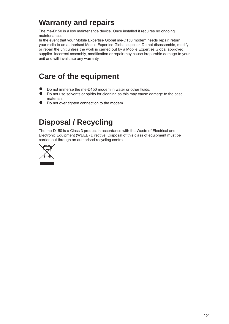## **Warranty and repairs**

The me-D150 is a low maintenance device. Once installed it requires no ongoing maintenance.

In the event that your Mobile Expertise Global me-D150 modem needs repair, return your radio to an authorised Mobile Expertise Global supplier. Do not disassemble, modify or repair the unit unless the work is carried out by a Mobile Expertise Global approved supplier. Incorrect assembly, modification or repair may cause irreparable damage to your unit and will invalidate any warranty.

## **Care of the equipment**

- Do not immerse the me-D150 modem in water or other fluids. ●
- Do not use solvents or spirits for cleaning as this may cause damage to the case materials.  $\ddot{\bullet}$
- Do not over tighten connection to the modem. ●

## **Disposal / Recycling**

The me-D150 is a Class 3 product in accordance with the Waste of Electrical and Electronic Equipment (WEEE) Directive. Disposal of this class of equipment must be carried out through an authorised recycling centre.